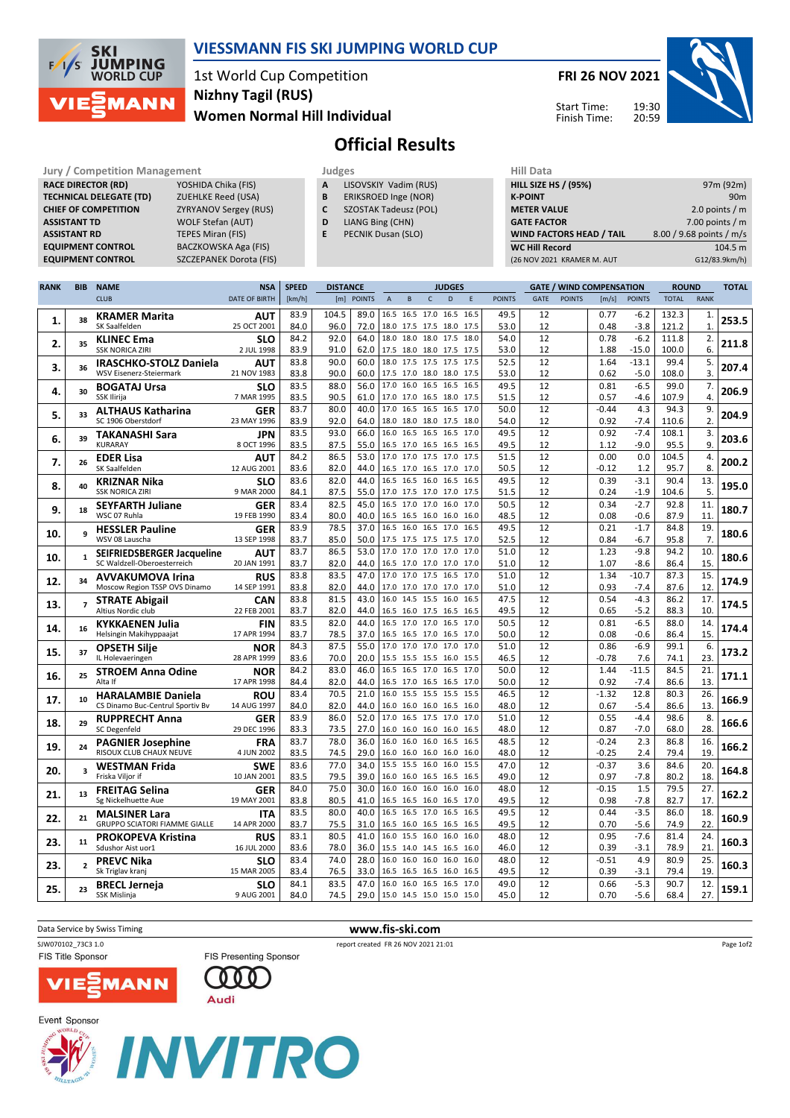

### VIESSMANN FIS SKI JUMPING WORLD CUP

## 1st World Cup Competition Women Normal Hill Individual Nizhny Tagil (RUS)





Official Results

Jury / Competition Management<br> **RACE DIRECTOR (RD)** YOSHIDA Chika (FIS) **A** LISOVSKIY Vadim (RUS) HILL SIZI RACE DIRECTOR (RD) **TECHNICAL DELEGATE (TD)** ZUEHLKE Reed (USA)<br>
CHIEF OF COMPETITION ZYRYANOV Sergey (R ASSISTANT TD WOLF Stefan (AUT) **ASSISTANT RD** TEPES Miran (FIS)<br> **EQUIPMENT CONTROL** BACZKOWSKA Aga

ZYRYANOV Sergey (RUS) BACZKOWSKA Aga (FIS) EQUIPMENT CONTROL SZCZEPANEK Dorota (FIS)

| $-0.01$ M $-0.01$ |                       |  |
|-------------------|-----------------------|--|
| $\mathbf{A}$      | LISOVSKIY Vadim (RUS) |  |

- **B** ERIKSROED Inge (NOR)<br>**C** SZOSTAK Tadeusz (POL)
- SZOSTAK Tadeusz (POL) D LIANG Bing (CHN)
- E PECNIK Dusan (SLO)
	-

| HIII Data                       |                          |
|---------------------------------|--------------------------|
| <b>HILL SIZE HS / (95%)</b>     | 97m (92m)                |
| <b>K-POINT</b>                  | 90 <sub>m</sub>          |
| <b>METER VALUE</b>              | 2.0 points $/m$          |
| <b>GATE FACTOR</b>              | 7.00 points $/m$         |
| <b>WIND FACTORS HEAD / TAIL</b> | 8.00 / 9.68 points / m/s |
| <b>WC Hill Record</b>           | 104.5 m                  |
| (26 NOV 2021 KRAMER M. AUT      | G12/83.9km/h)            |

| <b>RANK</b> | <b>BIB</b>               | <b>NAME</b>                                       | NSA                       | <b>SPEED</b> | <b>DISTANCE</b> |            |                |                     |              | <b>JUDGES</b>            |      |               |             |               | <b>GATE / WIND COMPENSATION</b> |               | <b>ROUND</b> |                | <b>TOTAL</b> |
|-------------|--------------------------|---------------------------------------------------|---------------------------|--------------|-----------------|------------|----------------|---------------------|--------------|--------------------------|------|---------------|-------------|---------------|---------------------------------|---------------|--------------|----------------|--------------|
|             |                          | <b>CLUB</b>                                       | <b>DATE OF BIRTH</b>      | [km/h]       |                 | [m] POINTS | $\overline{A}$ | B                   | $\mathsf{C}$ | D                        | F    | <b>POINTS</b> | <b>GATE</b> | <b>POINTS</b> | [m/s]                           | <b>POINTS</b> | <b>TOTAL</b> | <b>RANK</b>    |              |
|             |                          | <b>KRAMER Marita</b>                              | <b>AUT</b>                | 83.9         | 104.5           | 89.0       |                | 16.5 16.5 17.0 16.5 |              |                          | 16.5 | 49.5          | 12          |               | 0.77                            | $-6.2$        | 132.3        | 1.             |              |
| 1.          | 38                       | SK Saalfelden                                     | 25 OCT 2001               | 84.0         | 96.0            | 72.0       |                | 18.0 17.5 17.5 18.0 |              |                          | 17.5 | 53.0          | 12          |               | 0.48                            | $-3.8$        | 121.2        | $\mathbf{1}$   | 253.5        |
|             |                          |                                                   |                           | 84.2         | 92.0            | 64.0       | 18.0           | 18.0 18.0 17.5      |              |                          | 18.0 | 54.0          | 12          |               | 0.78                            | $-6.2$        | 111.8        | 2.             |              |
| 2.          | 35                       | <b>KLINEC Ema</b><br><b>SSK NORICA ZIRI</b>       | <b>SLO</b><br>2 JUL 1998  | 83.9         | 91.0            | 62.0       |                | 17.5 18.0 18.0 17.5 |              |                          | 17.5 | 53.0          | 12          |               | 1.88                            |               | 100.0        | 6.             | 211.8        |
|             |                          |                                                   |                           |              |                 |            |                | 18.0 17.5 17.5 17.5 |              |                          | 17.5 |               | 12          |               |                                 | -15.0         |              |                |              |
| 3.          | 36                       | <b>IRASCHKO-STOLZ Daniela</b>                     | <b>AUT</b>                | 83.8         | 90.0            | 60.0       |                |                     |              |                          |      | 52.5          |             |               | 1.64                            | $-13.1$       | 99.4         | 5.             | 207.4        |
|             |                          | WSV Eisenerz-Steiermark                           | 21 NOV 1983               | 83.8         | 90.0            | 60.0       |                | 17.5 17.0 18.0 18.0 |              |                          | 17.5 | 53.0          | 12          |               | 0.62                            | $-5.0$        | 108.0        | 3.             |              |
| 4.          | 30                       | <b>BOGATAJ Ursa</b>                               | <b>SLO</b>                | 83.5         | 88.0            | 56.0       |                | 17.0 16.0 16.5 16.5 |              |                          | 16.5 | 49.5          | 12          |               | 0.81                            | $-6.5$        | 99.0         | 7.             | 206.9        |
|             |                          | SSK Ilirija                                       | 7 MAR 1995                | 83.5         | 90.5            | 61.0       |                | 17.0 17.0 16.5 18.0 |              |                          | 17.5 | 51.5          | 12          |               | 0.57                            | $-4.6$        | 107.9        | 4.             |              |
| 5.          | 33                       | <b>ALTHAUS Katharina</b>                          | <b>GER</b>                | 83.7         | 80.0            | 40.0       | 17.0           | 16.5                | 16.5 16.5    |                          | 17.0 | 50.0          | 12          |               | $-0.44$                         | 4.3           | 94.3         | 9.             | 204.9        |
|             |                          | SC 1906 Oberstdorf                                | 23 MAY 1996               | 83.9         | 92.0            | 64.0       | 18.0           | 18.0 18.0 17.5      |              |                          | 18.0 | 54.0          | 12          |               | 0.92                            | $-7.4$        | 110.6        | $\overline{2}$ |              |
| 6.          | 39                       | <b>TAKANASHI Sara</b>                             | JPN                       | 83.5         | 93.0            | 66.0       | 16.0           | 16.5 16.5 16.5      |              |                          | 17.0 | 49.5          | 12          |               | 0.92                            | $-7.4$        | 108.1        | 3.             | 203.6        |
|             |                          | <b>KURARAY</b>                                    | 8 OCT 1996                | 83.5         | 87.5            | 55.0       |                | 16.5 17.0 16.5 16.5 |              |                          | 16.5 | 49.5          | 12          |               | 1.12                            | $-9.0$        | 95.5         | 9.             |              |
| 7.          | 26                       | <b>EDER Lisa</b>                                  | AUT                       | 84.2         | 86.5            | 53.0       |                | 17.0 17.0 17.5 17.0 |              |                          | 17.5 | 51.5          | 12          |               | 0.00                            | 0.0           | 104.5        | 4.             | 200.2        |
|             |                          | SK Saalfelden                                     | 12 AUG 2001               | 83.6         | 82.0            | 44.0       |                | 16.5 17.0 16.5 17.0 |              |                          | 17.0 | 50.5          | 12          |               | $-0.12$                         | 1.2           | 95.7         | 8.             |              |
|             | 40                       | <b>KRIZNAR Nika</b>                               | SLO                       | 83.6         | 82.0            | 44.0       |                | 16.5 16.5 16.0      |              | 16.5                     | 16.5 | 49.5          | 12          |               | 0.39                            | $-3.1$        | 90.4         | 13.            | 195.0        |
| 8.          |                          | <b>SSK NORICA ZIRI</b>                            | 9 MAR 2000                | 84.1         | 87.5            | 55.0       |                | 17.0 17.5 17.0 17.0 |              |                          | 17.5 | 51.5          | 12          |               | 0.24                            | $-1.9$        | 104.6        | 5.             |              |
|             |                          | <b>SEYFARTH Juliane</b>                           | <b>GER</b>                | 83.4         | 82.5            | 45.0       | 16.5           | 17.0                | 17.0         | 16.0                     | 17.0 | 50.5          | 12          |               | 0.34                            | $-2.7$        | 92.8         | 11.            |              |
| 9.          | 18                       | WSC 07 Ruhla                                      | 19 FEB 1990               | 83.4         | 80.0            | 40.0       |                | 16.5 16.5 16.0 16.0 |              |                          | 16.0 | 48.5          | 12          |               | 0.08                            | $-0.6$        | 87.9         | 11.            | 180.7        |
|             |                          | <b>HESSLER Pauline</b>                            | <b>GER</b>                | 83.9         | 78.5            | 37.0       |                | 16.5 16.0 16.5 17.0 |              |                          | 16.5 | 49.5          | 12          |               | 0.21                            | $-1.7$        | 84.8         | 19.            |              |
| 10.         | 9                        | WSV 08 Lauscha                                    | 13 SEP 1998               | 83.7         | 85.0            | 50.0       |                | 17.5 17.5 17.5 17.5 |              |                          | 17.0 | 52.5          | 12          |               | 0.84                            | $-6.7$        | 95.8         | 7 <sub>1</sub> | 180.6        |
|             |                          | <b>SEIFRIEDSBERGER Jacqueline</b>                 | <b>AUT</b>                | 83.7         | 86.5            | 53.0       |                | 17.0 17.0 17.0 17.0 |              |                          | 17.0 | 51.0          | 12          |               | 1.23                            | $-9.8$        | 94.2         | 10.            |              |
| 10.         | $\mathbf{1}$             | SC Waldzell-Oberoesterreich                       | 20 JAN 1991               | 83.7         | 82.0            | 44.0       |                | 16.5 17.0 17.0 17.0 |              |                          | 17.0 | 51.0          | 12          |               | 1.07                            | $-8.6$        | 86.4         | 15.            | 180.6        |
|             |                          | <b>AVVAKUMOVA Irina</b>                           | <b>RUS</b>                | 83.8         | 83.5            | 47.0       | 17.0           | 17.0                | 17.5         | 16.5                     | 17.0 | 51.0          | 12          |               | 1.34                            | $-10.7$       | 87.3         | 15.            |              |
| 12.         | 34                       | Moscow Region TSSP OVS Dinamo                     | 14 SEP 1991               | 83.8         | 82.0            | 44.0       | 17.0           | 17.0 17.0 17.0      |              |                          | 17.0 | 51.0          | 12          |               | 0.93                            | $-7.4$        | 87.6         | 12             | 174.9        |
|             |                          |                                                   | CAN                       | 83.8         | 81.5            | 43.0       |                | 16.0 14.5 15.5 16.0 |              |                          | 16.5 | 47.5          | 12          |               | 0.54                            | $-4.3$        | 86.2         | 17.            |              |
| 13.         | $\overline{7}$           | <b>STRATE Abigail</b><br>Altius Nordic club       | 22 FEB 2001               | 83.7         | 82.0            | 44.0       |                | 16.5 16.0 17.5 16.5 |              |                          | 16.5 | 49.5          | 12          |               | 0.65                            | $-5.2$        | 88.3         | 10.            | 174.5        |
|             |                          |                                                   |                           | 83.5         | 82.0            | 44.0       | 16.5           | 17.0 17.0 16.5      |              |                          | 17.0 | 50.5          | 12          |               | 0.81                            | $-6.5$        | 88.0         | 14.            |              |
| 14.         | 16                       | <b>KYKKAENEN Julia</b><br>Helsingin Makihyppaajat | <b>FIN</b><br>17 APR 1994 | 83.7         | 78.5            | 37.0       |                |                     |              | 16.5 16.5 17.0 16.5 17.0 |      | 50.0          | 12          |               | 0.08                            | $-0.6$        | 86.4         | 15.            | 174.4        |
|             |                          |                                                   |                           |              |                 |            |                | 17.0 17.0 17.0 17.0 |              |                          | 17.0 |               |             |               |                                 |               |              |                |              |
| 15.         | 37                       | <b>OPSETH Silje</b>                               | <b>NOR</b>                | 84.3         | 87.5            | 55.0       |                |                     |              |                          |      | 51.0          | 12          |               | 0.86                            | $-6.9$        | 99.1         | 6.<br>23       | 173.2        |
|             |                          | IL Holevaeringen                                  | 28 APR 1999               | 83.6         | 70.0            | 20.0       |                | 15.5 15.5 15.5 16.0 |              |                          | 15.5 | 46.5          | 12          |               | $-0.78$                         | 7.6           | 74.1         |                |              |
| 16.         | 25                       | <b>STROEM Anna Odine</b>                          | <b>NOR</b>                | 84.2         | 83.0            | 46.0       | 16.5           | 16.5 17.0           |              | 16.5                     | 17.0 | 50.0          | 12          |               | 1.44                            | $-11.5$       | 84.5         | 21.            | 171.1        |
|             |                          | Alta If                                           | 17 APR 1998               | 84.4         | 82.0            | 44.0       |                | 16.5 17.0 16.5 16.5 |              |                          | 17.0 | 50.0          | 12          |               | 0.92                            | $-7.4$        | 86.6         | 13.            |              |
| 17.         | 10                       | <b>HARALAMBIE Daniela</b>                         | <b>ROU</b>                | 83.4         | 70.5            | 21.0       | 16.0           | 15.5 15.5 15.5      |              |                          | 15.5 | 46.5          | 12          |               | $-1.32$                         | 12.8          | 80.3         | 26.            | 166.9        |
|             |                          | CS Dinamo Buc-Centrul Sportiv Bv                  | 14 AUG 1997               | 84.0         | 82.0            | 44.0       | 16.0           | 16.0 16.0 16.5      |              |                          | 16.0 | 48.0          | 12          |               | 0.67                            | $-5.4$        | 86.6         | 13.            |              |
| 18.         | 29                       | <b>RUPPRECHT Anna</b>                             | <b>GER</b>                | 83.9         | 86.0            | 52.0       | 17.0           | 16.5 17.5           |              | 17.0                     | 17.0 | 51.0          | 12          |               | 0.55                            | $-4.4$        | 98.6         | 8.             | 166.6        |
|             |                          | SC Degenfeld                                      | 29 DEC 1996               | 83.3         | 73.5            | 27.0       |                | 16.0 16.0 16.0 16.0 |              |                          | 16.5 | 48.0          | 12          |               | 0.87                            | $-7.0$        | 68.0         | 28.            |              |
| 19.         | 24                       | <b>PAGNIER Josephine</b>                          | <b>FRA</b>                | 83.7         | 78.0            | 36.0       | 16.0           | 16.0                | 16.0         | 16.5                     | 16.5 | 48.5          | 12          |               | $-0.24$                         | 2.3           | 86.8         | 16.            | 166.2        |
|             |                          | RISOUX CLUB CHAUX NEUVE                           | 4 JUN 2002                | 83.5         | 74.5            | 29.0       |                | 16.0 16.0 16.0 16.0 |              |                          | 16.0 | 48.0          | 12          |               | $-0.25$                         | 2.4           | 79.4         | 19             |              |
| 20.         | 3                        | <b>WESTMAN Frida</b>                              | <b>SWE</b>                | 83.6         | 77.0            | 34.0       |                | 15.5 15.5 16.0 16.0 |              |                          | 15.5 | 47.0          | 12          |               | $-0.37$                         | 3.6           | 84.6         | 20.            | 164.8        |
|             |                          | Friska Viljor if                                  | 10 JAN 2001               | 83.5         | 79.5            | 39.0       |                | 16.0 16.0 16.5 16.5 |              |                          | 16.5 | 49.0          | 12          |               | 0.97                            | -7.8          | 80.2         | 18.            |              |
| 21.         | 13                       | <b>FREITAG Selina</b>                             | <b>GER</b>                | 84.0         | 75.0            | 30.0       | 16.0           | 16.0 16.0           |              | 16.0                     | 16.0 | 48.0          | 12          |               | $-0.15$                         | 1.5           | 79.5         | 27.            | 162.2        |
|             |                          | Sg Nickelhuette Aue                               | 19 MAY 2001               | 83.8         | 80.5            | 41.0       |                | 16.5 16.5 16.0 16.5 |              |                          | 17.0 | 49.5          | 12          |               | 0.98                            | $-7.8$        | 82.7         | 17             |              |
| 22.         | 21                       | <b>MALSINER Lara</b>                              | ITA                       | 83.5         | 80.0            | 40.0       | 16.5           | 16.5 17.0           |              | 16.5                     | 16.5 | 49.5          | 12          |               | 0.44                            | $-3.5$        | 86.0         | 18.            | 160.9        |
|             |                          | <b>GRUPPO SCIATORI FIAMME GIALLE</b>              | 14 APR 2000               | 83.7         | 75.5            | 31.0       |                | 16.5 16.0 16.5 16.5 |              |                          | 16.5 | 49.5          | 12          |               | 0.70                            | $-5.6$        | 74.9         | 22             |              |
| 23.         | 11                       | <b>PROKOPEVA Kristina</b>                         | <b>RUS</b>                | 83.1         | 80.5            | 41.0       |                | 16.0 15.5 16.0 16.0 |              |                          | 16.0 | 48.0          | 12          |               | 0.95                            | $-7.6$        | 81.4         | 24.            | 160.3        |
|             |                          | Sdushor Aist uor1                                 | 16 JUL 2000               | 83.6         | 78.0            | 36.0       | 15.5           | 14.0 14.5 16.5      |              |                          | 16.0 | 46.0          | 12          |               | 0.39                            | $-3.1$        | 78.9         | 21             |              |
|             | $\overline{\phantom{a}}$ | <b>PREVC Nika</b>                                 | <b>SLO</b>                | 83.4         | 74.0            | 28.0       | 16.0           | 16.0 16.0 16.0      |              |                          | 16.0 | 48.0          | 12          |               | $-0.51$                         | 4.9           | 80.9         | 25.            | 160.3        |
| 23.         |                          | Sk Triglav kranj                                  | 15 MAR 2005               | 83.4         | 76.5            | 33.0       |                | 16.5 16.5 16.5 16.0 |              |                          | 16.5 | 49.5          | 12          |               | 0.39                            | $-3.1$        | 79.4         | 19.            |              |
|             |                          | <b>BRECL Jerneja</b>                              | <b>SLO</b>                | 84.1         | 83.5            | 47.0       | 16.0           | 16.0                | 16.5         | 16.5                     | 17.0 | 49.0          | 12          |               | 0.66                            | $-5.3$        | 90.7         | 12.            |              |
| 25.         | 23                       | SSK Mislinja                                      | 9 AUG 2001                | 84.0         | 74.5            | 29.0       |                | 15.0 14.5 15.0 15.0 |              |                          | 15.0 | 45.0          | 12          |               | 0.70                            | $-5.6$        | 68.4         | 27.            | 159.1        |
|             |                          |                                                   |                           |              |                 |            |                |                     |              |                          |      |               |             |               |                                 |               |              |                |              |









Page 1of2